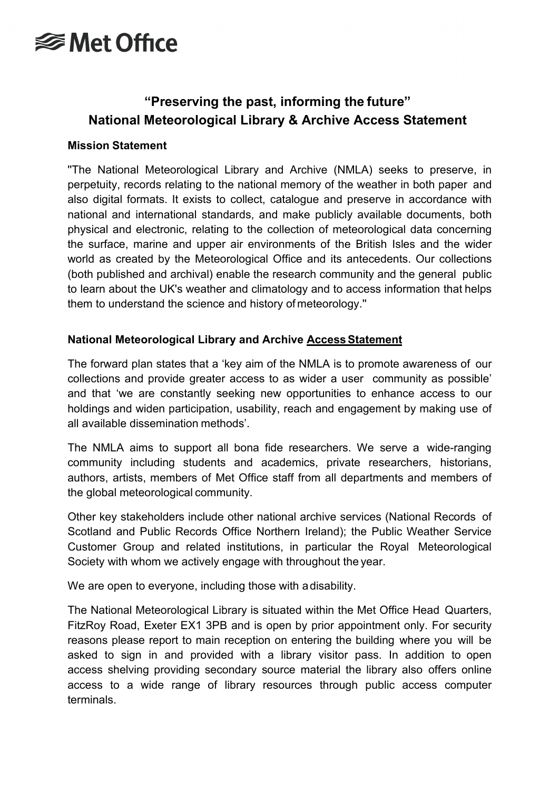# **<del></del>** Met Office

### **"Preserving the past, informing the future" National Meteorological Library & Archive Access Statement**

#### **Mission Statement**

''The National Meteorological Library and Archive (NMLA) seeks to preserve, in perpetuity, records relating to the national memory of the weather in both paper and also digital formats. It exists to collect, catalogue and preserve in accordance with national and international standards, and make publicly available documents, both physical and electronic, relating to the collection of meteorological data concerning the surface, marine and upper air environments of the British Isles and the wider world as created by the Meteorological Office and its antecedents. Our collections (both published and archival) enable the research community and the general public to learn about the UK's weather and climatology and to access information that helps them to understand the science and history of meteorology.''

#### **National Meteorological Library and Archive Access Statement**

The forward plan states that a 'key aim of the NMLA is to promote awareness of our collections and provide greater access to as wider a user community as possible' and that 'we are constantly seeking new opportunities to enhance access to our holdings and widen participation, usability, reach and engagement by making use of all available dissemination methods'.

The NMLA aims to support all bona fide researchers. We serve a wide-ranging community including students and academics, private researchers, historians, authors, artists, members of Met Office staff from all departments and members of the global meteorological community.

Other key stakeholders include other national archive services (National Records of Scotland and Public Records Office Northern Ireland); the Public Weather Service Customer Group and related institutions, in particular the Royal Meteorological Society with whom we actively engage with throughout the year.

We are open to everyone, including those with adisability.

The National Meteorological Library is situated within the Met Office Head Quarters, FitzRoy Road, Exeter EX1 3PB and is open by prior appointment only. For security reasons please report to main reception on entering the building where you will be asked to sign in and provided with a library visitor pass. In addition to open access shelving providing secondary source material the library also offers online access to a wide range of library resources through public access computer terminals.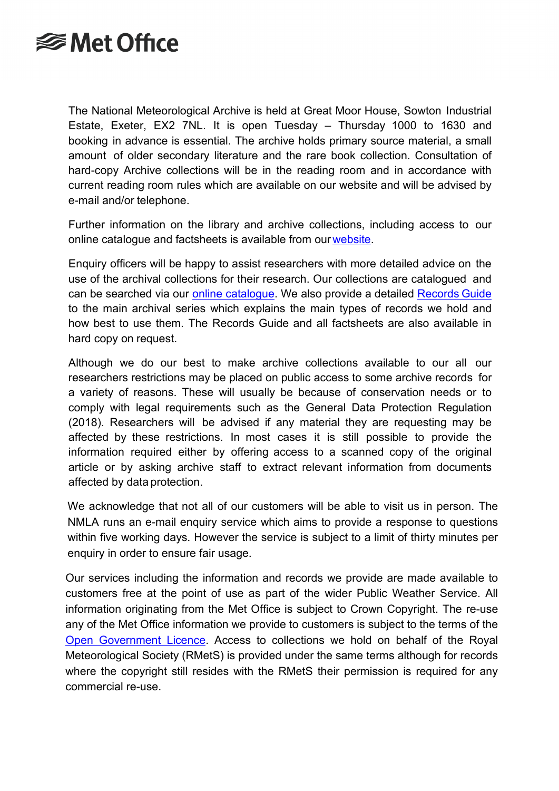### **<del></del>** Met Office

The National Meteorological Archive is held at Great Moor House, Sowton Industrial Estate, Exeter, EX2 7NL. It is open Tuesday – Thursday 1000 to 1630 and booking in advance is essential. The archive holds primary source material, a small amount of older secondary literature and the rare book collection. Consultation of hard-copy Archive collections will be in the reading room and in accordance with current reading room rules which are available on our website and will be advised by e-mail and/or telephone.

Further information on the library and archive collections, including access to our online catalogue and factsheets is available from our [website.](http://www.metoffice.gov.uk/learning/library)

Enquiry officers will be happy to assist researchers with more detailed advice on the use of the archival collections for their research. Our collections are catalogued and can be searched via our [online catalogue.](https://library.metoffice.gov.uk/) We also provide a detailed [Records](http://www.metoffice.gov.uk/learning/library/archive/collections) Guide to the main archival series which explains the main types of records we hold and how best to use them. The Records Guide and all factsheets are also available in hard copy on request.

Although we do our best to make archive collections available to our all our researchers restrictions may be placed on public access to some archive records for a variety of reasons. These will usually be because of conservation needs or to comply with legal requirements such as the General Data Protection Regulation (2018). Researchers will be advised if any material they are requesting may be affected by these restrictions. In most cases it is still possible to provide the information required either by offering access to a scanned copy of the original article or by asking archive staff to extract relevant information from documents affected by data protection.

We acknowledge that not all of our customers will be able to visit us in person. The NMLA runs an e-mail enquiry service which aims to provide a response to questions within five working days. However the service is subject to a limit of thirty minutes per enquiry in order to ensure fair usage.

Our services including the information and records we provide are made available to customers free at the point of use as part of the wider Public Weather Service. All information originating from the Met Office is subject to Crown Copyright. The re-use any of the Met Office information we provide to customers is subject to the terms of the [Open Government Licence.](http://www.metoffice.gov.uk/learning/library/ogl-acknowledgement) Access to collections we hold on behalf of the Royal Meteorological Society (RMetS) is provided under the same terms although for records where the copyright still resides with the RMetS their permission is required for any commercial re-use.